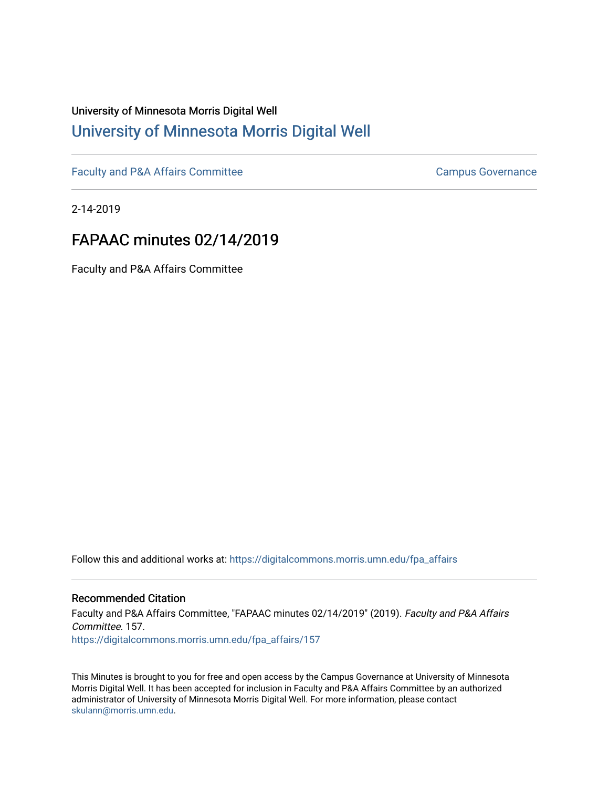# University of Minnesota Morris Digital Well [University of Minnesota Morris Digital Well](https://digitalcommons.morris.umn.edu/)

[Faculty and P&A Affairs Committee](https://digitalcommons.morris.umn.edu/fpa_affairs) [Campus Governance](https://digitalcommons.morris.umn.edu/campgov) Campus Governance

2-14-2019

## FAPAAC minutes 02/14/2019

Faculty and P&A Affairs Committee

Follow this and additional works at: [https://digitalcommons.morris.umn.edu/fpa\\_affairs](https://digitalcommons.morris.umn.edu/fpa_affairs?utm_source=digitalcommons.morris.umn.edu%2Ffpa_affairs%2F157&utm_medium=PDF&utm_campaign=PDFCoverPages)

## Recommended Citation

Faculty and P&A Affairs Committee, "FAPAAC minutes 02/14/2019" (2019). Faculty and P&A Affairs Committee. 157. [https://digitalcommons.morris.umn.edu/fpa\\_affairs/157](https://digitalcommons.morris.umn.edu/fpa_affairs/157?utm_source=digitalcommons.morris.umn.edu%2Ffpa_affairs%2F157&utm_medium=PDF&utm_campaign=PDFCoverPages)

This Minutes is brought to you for free and open access by the Campus Governance at University of Minnesota Morris Digital Well. It has been accepted for inclusion in Faculty and P&A Affairs Committee by an authorized administrator of University of Minnesota Morris Digital Well. For more information, please contact [skulann@morris.umn.edu.](mailto:skulann@morris.umn.edu)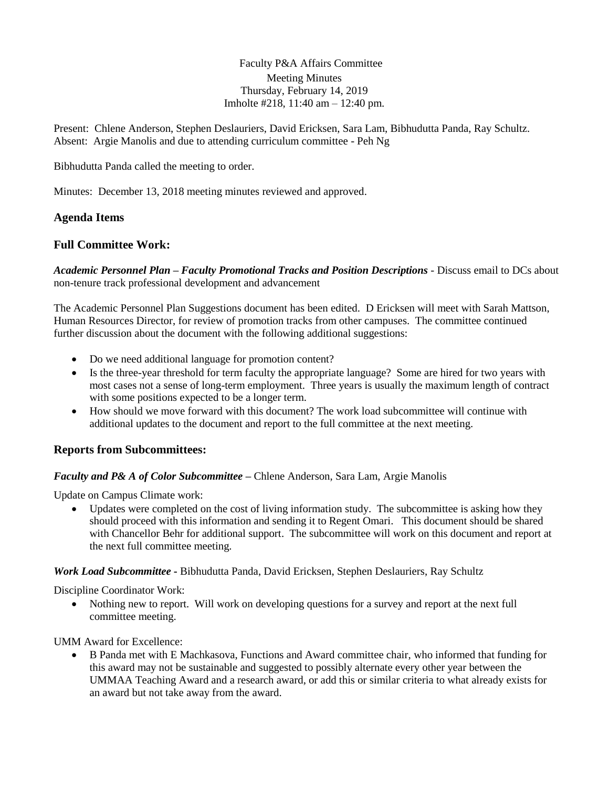Faculty P&A Affairs Committee Meeting Minutes Thursday, February 14, 2019 Imholte #218, 11:40 am – 12:40 pm.

Present: Chlene Anderson, Stephen Deslauriers, David Ericksen, Sara Lam, Bibhudutta Panda, Ray Schultz. Absent: Argie Manolis and due to attending curriculum committee - Peh Ng

Bibhudutta Panda called the meeting to order.

Minutes: December 13, 2018 meeting minutes reviewed and approved.

## **Agenda Items**

## **Full Committee Work:**

*Academic Personnel Plan – Faculty Promotional Tracks and Position Descriptions -* Discuss email to DCs about non-tenure track professional development and advancement

The Academic Personnel Plan Suggestions document has been edited. D Ericksen will meet with Sarah Mattson, Human Resources Director, for review of promotion tracks from other campuses. The committee continued further discussion about the document with the following additional suggestions:

- Do we need additional language for promotion content?
- Is the three-year threshold for term faculty the appropriate language? Some are hired for two years with most cases not a sense of long-term employment. Three years is usually the maximum length of contract with some positions expected to be a longer term.
- How should we move forward with this document? The work load subcommittee will continue with additional updates to the document and report to the full committee at the next meeting.

#### **Reports from Subcommittees:**

#### *Faculty and P& A of Color Subcommittee* **–** Chlene Anderson, Sara Lam, Argie Manolis

Update on Campus Climate work:

 Updates were completed on the cost of living information study. The subcommittee is asking how they should proceed with this information and sending it to Regent Omari. This document should be shared with Chancellor Behr for additional support. The subcommittee will work on this document and report at the next full committee meeting.

*Work Load Subcommittee* **-** Bibhudutta Panda, David Ericksen, Stephen Deslauriers, Ray Schultz

Discipline Coordinator Work:

 Nothing new to report. Will work on developing questions for a survey and report at the next full committee meeting.

UMM Award for Excellence:

 B Panda met with E Machkasova, Functions and Award committee chair, who informed that funding for this award may not be sustainable and suggested to possibly alternate every other year between the UMMAA Teaching Award and a research award, or add this or similar criteria to what already exists for an award but not take away from the award.